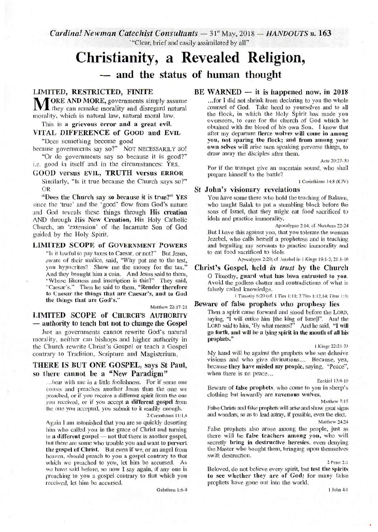Cardinal Newman Catechist Consultants - 31<sup>st</sup> May, 2018 - *HANDOUTS* n. 163 "Clear, brief and easily assimilated by all"

# Christianity, a Revealed Religion,

and the status of human thought

# **LIMITED, RESTRICTED, FINITE**

ORE AND MORE, governments simply assume they can remake morality and disregard natural morality, which is natural law, natural moral law.

This is a grievous error and a great evil. VITAL DIFFERENCE of GOOD and EVIL

"Does something become good

because governments say so?" NOT NECESSARILY SO! "Or do governments say so because it is good?"

i.e. good in itself and in the circumstances: YES. **GOOD versus EVIL, TRUTH versus ERROR** 

Similarly, "Is it true because the Church says so?" OR

"Does the Church say so because it is true?" YES since the 'true' and the 'good' flow from God's nature and God reveals these things through His creation AND through His New Creation, His Holy Catholic Church, an 'extension' of the Incarnate Son of God guided by the Holy Spirit.

### **LIMITED SCOPE of GOVERNMENT POWERS**

"Is it lawful to pay taxes to Caesar, or not?" But Jesus, aware of their malice, said, "Why put me to the test, you hypocrites? Show me the money for the tax." And they brought him a coin. And Jesus said to them, "Whose likeness and inscription is this?" They said, "Caesar's." Then he said to them, "Render therefore to Caesar the things that are Caesar's, and to God the things that are God's.'

Matthew 22:17-21

**LIMITED SCOPE of CHURCH'S AUTHORITY** — authority to teach but not to change the Gospel

Just as governments cannot rewrite God's natural morality, neither can bishops and higher authority in the Church rewrite Christ's Gospel or teach a Gospel contrary to Tradition, Scripture and Magisterium.

# THERE IS BUT ONE GOSPEL, says St Paul. so there cannot be a "New Paradigm"

... bear with me in a little foolishness. For if some one comes and preaches another Jesus than the one we preached, or if you receive a different spirit from the one you received, or if you accept a different gospel from the one you accepted, you submit to it readily enough.

2 Corinthians 11:1,4

Again I am astonished that you are so quickly deserting him who called you in the grace of Christ and turning to a different gospel - not that there is another gospel. but there are some who trouble you and want to pervert the gospel of Christ. But even if we, or an angel from heaven, should preach to you a gospel contrary to that which we preached to you, let him be accursed. As we have said before, so now I say again, if any one is preaching to you a gospel contrary to that which you received, let him be accursed

Galatians 1:6-9

#### $BE$  WARNED  $-$  it is happened now, in 2018

...for I did not shrink from declaring to you the whole counsel of God. Take heed to yourselves and to all the flock, in which the Holy Spirit has made you overseers, to care for the church of God which he obtained with the blood of his own Son. I know that after my departure fierce wolves will come in among you, not sparing the flock; and from among your own selves will arise men speaking perverse things, to draw away the disciples after them.

Acts 20:27-30

For if the trumpet give an uncertain sound, who shall prepare himself to the battle?

1 Corinthians 14:8 (KJV)

#### St John's visionary revelations

You have some there who hold the teaching of Balaam, who taught Balak to put a stumbling block before the sons of Israel, that they might eat food sacrificed to idols and practice immorality.

Apocalypse 2:14; cf. Numbers 22-24 But I have this against you, that you tolerate the woman Jezebel, who calls herself a prophetess and is teaching and beguiling my servants to practise immorality and to eat food sacrificed to idols.

Apocalypse 2:20; cf. Jezebel in 1 Kings 19:1-2; 21:1-16

Christ's Gospel, held in trust by the Church O Timothy, guard what has been entrusted to you. Avoid the godless chatter and contradictions of what is falsely called knowledge.

1 Timothy 6:20 (cf. 1 Tim 1:11; 2 Tim 1:12,14; Titus 1:3)

#### Beware of false prophets who prophesy lies

Then a spirit came forward and stood before the LORD, saying, "I will entice him [the king of Israel]". And the LORD said to him, 'By what means?" And he said, "I will go forth, and will be a lying spirit in the mouth of all his prophets."

1 Kings 22:21-23

My hand will be against the prophets who see delusive visions and who give divinations... Because, yea, because they have misled my people, saying, "Peace", when there is no peace...

Ezekiel 13:9-10

Beware of false prophets, who come to you in sheep's clothing but inwardly are ravenous wolves

Matthew 7:15

False Christs and false prophets will arise and show great signs and wonders, so as to lead astray, if possible, even the elect. Matthew 24:24

False prophets also arose among the people, just as there will be false teachers among you, who will secretly bring in destructive heresies, even denying the Master who bought them, bringing upon themselves swift destruction

2 Peter 2:

Beloved, do not believe every spirit, but test the spirits to see whether they are of God; for many false prophets have gone out into the world.

 $1$  John 4: